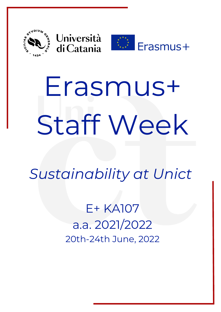



# Erasmus+ Staff Week

*Sustainability at Unict*

E+ KA107 a.a. 2021/2022 20th-24th June, 2022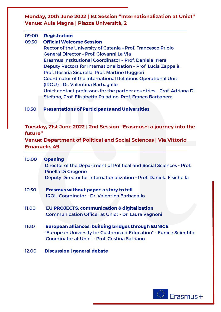**Monday, 20th June 2022 | 1st Session "Internationalization at Unict" Venue: Aula Magna | Piazza Università, 2**

#### 09:00 **Registration**

#### 09:30 **Official Welcome Session**

Rector of the University of Catania – Prof. Francesco Priolo General Director – Prof. Giovanni La Via Erasmus Institutional Coordinator – Prof. Daniela Irrera Deputy Rectors for Internationalization – Prof. Lucia Zappalà, Prof. Rosaria Sicurella, Prof. Martino Ruggieri Coordinator of the International Relations Operational Unit (IROU) – Dr. Valentina Barbagallo Unict contact professors for the partner countries - Prof. Adriana Di Stefano, Prof. Elisabetta Paladino, Prof. Franco Barbanera

## 10:30 **Presentations of Participants and Universities**

# **Tuesday, 21st June 2022 | 2nd Session "Erasmus+: a journey into the future"**

**Venue: Department of Political and Social Sciences | Via Vittorio Emanuele, 49**

| 10:00 | <b>Opening</b>                                                      |
|-------|---------------------------------------------------------------------|
|       | Director of the Department of Political and Social Sciences - Prof. |
|       | <b>Pinella Di Gregorio</b>                                          |
|       | Deputy Director for Internationalization - Prof. Daniela Fisichella |
| 10:30 | Erasmus without paper: a story to tell                              |
|       | <b>IROU Coordinator - Dr. Valentina Barbagallo</b>                  |
| 11:00 | <b>EU PROJECTS: communication &amp; digitalization</b>              |
|       | <b>Communication Officer at Unict - Dr. Laura Vagnoni</b>           |
| 11:30 | <b>European alliances: building bridges through EUNICE</b>          |
|       | "European University for Customized Education" - Eunice Scientific  |
|       | Coordinator at Unict - Prof. Cristina Satriano                      |

12:00 **Discussion | general debate**

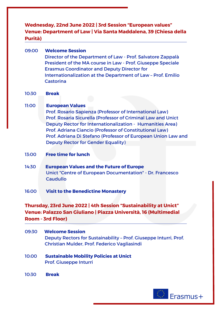**Wednesday, 22nd June 2022 | 3rd Session "European values" Venue: Department of Law | Via Santa Maddalena, 39 (Chiesa della Purità)**

- 09:00 **Welcome Session** Director of the Department of Law - Prof. Salvatore Zappalà President of the MA course in Law - Prof. Giuseppe Speciale Erasmus Coordinator and Deputy Director for Internationalization at the Department of Law – Prof. Emilio **Castorina**
- 10:30 **Break**

## 11:00 **European Values**

Prof. Rosario Sapienza (Professor of International Law) Prof. Rosaria Sicurella (Professor of Criminal Law and Unict Deputy Rector for Internationalization - Humanities Area) Prof. Adriana Ciancio (Professor of Constitutional Law) Prof. Adriana Di Stefano (Professor of European Union Law and Deputy Rector for Gender Equality)

- 13:00 **Free time for lunch**
- 14:30 **European Values and the Future of Europe** Unict "Centre of European Documentation" - Dr. Francesco **Caudullo**

## 16:00 **Visit to the Benedictine Monastery**

# **Thursday, 23rd June 2022 | 4th Session "Sustainability at Unict" Venue: Palazzo San Giuliano | Piazza Università, 16 (Multimedial Room - 3rd Floor)**

- 09:30 **Welcome Session** Deputy Rectors for Sustainability – Prof. Giuseppe Inturri, Prof. Christian Mulder, Prof. Federico Vagliasindi
- 10:00 **Sustainable Mobility Policies at Unict** Prof. Giuseppe Inturri
- 10:30 **Break**